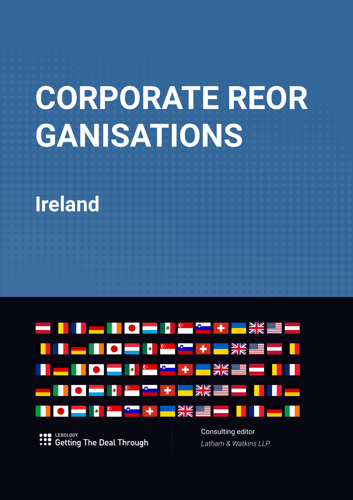# **CORPORATE REOR GANISATIONS**

# **Ireland**



LEXOLOGY **Getting The Deal Through**  Consulting editor *Latham & Watkins LLP*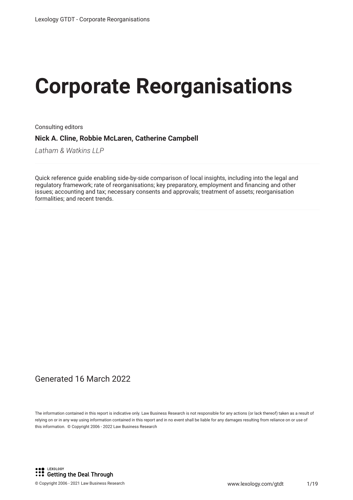# **Corporate Reorganisations**

Consulting editors

**Nick A. Cline, Robbie McLaren, Catherine Campbell**

*Latham & Watkins LLP*

Quick reference guide enabling side-by-side comparison of local insights, including into the legal and regulatory framework; rate of reorganisations; key preparatory, employment and fnancing and other issues; accounting and tax; necessary consents and approvals; treatment of assets; reorganisation formalities; and recent trends.

#### Generated 16 March 2022

The information contained in this report is indicative only. Law Business Research is not responsible for any actions (or lack thereof) taken as a result of relying on or in any way using information contained in this report and in no event shall be liable for any damages resulting from reliance on or use of this information. © Copyright 2006 - 2022 Law Business Research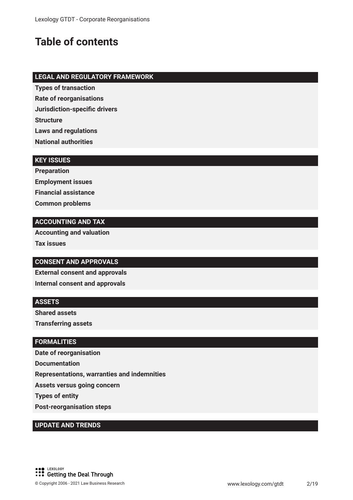### **Table of contents**

#### **LEGAL AND REGULATORY FRAMEWORK**

**Types of transaction**

**Rate of reorganisations**

**Jurisdiction-specifc drivers**

**Structure**

**Laws and regulations**

**National authorities**

#### **KEY ISSUES**

**Preparation Employment issues Financial assistance Common problems**

#### **ACCOUNTING AND TAX**

**Accounting and valuation Tax issues**

#### **CONSENT AND APPROVALS**

**External consent and approvals Internal consent and approvals**

#### **ASSETS**

**Shared assets**

**Transferring assets**

#### **FORMALITIES**

**Date of reorganisation Documentation Representations, warranties and indemnities Assets versus going concern Types of entity Post-reorganisation steps**

#### **UPDATE AND TRENDS**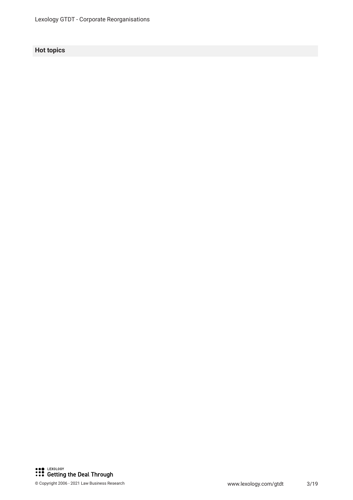#### **Hot topics**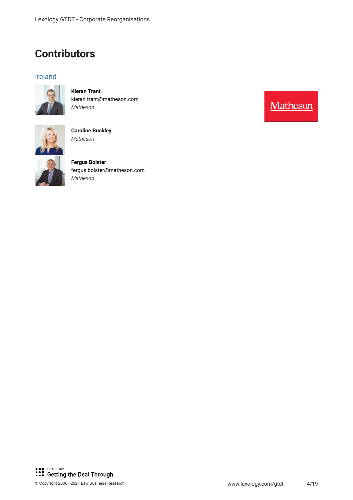### **Contributors**

#### Ireland



**Kieran Trant** kieran.trant@matheson.com *Matheson*



**Caroline Buckley** *Matheson*



**Fergus Bolster** fergus.bolster@matheson.com *Matheson*

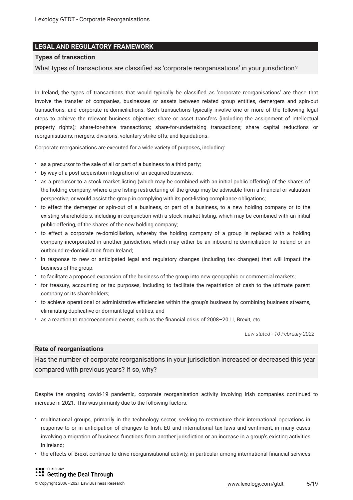#### **LEGAL AND REGULATORY FRAMEWORK**

#### **Types of transaction**

What types of transactions are classifed as 'corporate reorganisations' in your jurisdiction?

In Ireland, the types of transactions that would typically be classifed as 'corporate reorganisations' are those that involve the transfer of companies, businesses or assets between related group entities, demergers and spin-out transactions, and corporate re-domiciliations. Such transactions typically involve one or more of the following legal steps to achieve the relevant business objective: share or asset transfers (including the assignment of intellectual property rights); share-for-share transactions; share-for-undertaking transactions; share capital reductions or reorganisations; mergers; divisions; voluntary strike-offs; and liquidations.

Corporate reorganisations are executed for a wide variety of purposes, including:

- as a precursor to the sale of all or part of a business to a third party;
- by way of a post-acquisition integration of an acquired business;
- as a precursor to a stock market listing (which may be combined with an initial public offering) of the shares of the holding company, where a pre-listing restructuring of the group may be advisable from a fnancial or valuation perspective, or would assist the group in complying with its post-listing compliance obligations;
- to effect the demerger or spin-out of a business, or part of a business, to a new holding company or to the existing shareholders, including in conjunction with a stock market listing, which may be combined with an initial public offering, of the shares of the new holding company;
- to effect a corporate re-domiciliation, whereby the holding company of a group is replaced with a holding company incorporated in another jurisdiction, which may either be an inbound re-domiciliation to Ireland or an outbound re-domiciliation from Ireland;
- in response to new or anticipated legal and regulatory changes (including tax changes) that will impact the business of the group;
- to facilitate a proposed expansion of the business of the group into new geographic or commercial markets;
- for treasury, accounting or tax purposes, including to facilitate the repatriation of cash to the ultimate parent company or its shareholders;
- \* to achieve operational or administrative efficiencies within the group's business by combining business streams, eliminating duplicative or dormant legal entities; and
- as a reaction to macroeconomic events, such as the fnancial crisis of 2008–2011, Brexit, etc.

*Law stated - 10 February 2022*

#### **Rate of reorganisations**

Has the number of corporate reorganisations in your jurisdiction increased or decreased this year compared with previous years? If so, why?

Despite the ongoing covid-19 pandemic, corporate reorganisation activity involving Irish companies continued to increase in 2021. This was primarily due to the following factors:

- multinational groups, primarily in the technology sector, seeking to restructure their international operations in response to or in anticipation of changes to Irish, EU and international tax laws and sentiment, in many cases involving a migration of business functions from another jurisdiction or an increase in a group's existing activities in Ireland;
- the effects of Brexit continue to drive reorgansiational activity, in particular among international fnancial services

LEXOLOGY **S** Getting the Deal Through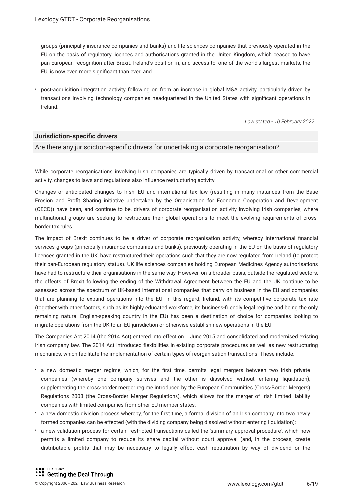groups (principally insurance companies and banks) and life sciences companies that previously operated in the EU on the basis of regulatory licences and authorisations granted in the United Kingdom, which ceased to have pan-European recognition after Brexit. Ireland's position in, and access to, one of the world's largest markets, the EU, is now even more signifcant than ever; and

post-acquisition integration activity following on from an increase in global M&A activity, particularly driven by transactions involving technology companies headquartered in the United States with signifcant operations in Ireland.

*Law stated - 10 February 2022*

#### **Jurisdiction-specifc drivers**

#### Are there any jurisdiction-specifc drivers for undertaking a corporate reorganisation?

While corporate reorganisations involving Irish companies are typically driven by transactional or other commercial activity, changes to laws and regulations also infuence restructuring activity.

Changes or anticipated changes to Irish, EU and international tax law (resulting in many instances from the Base Erosion and Proft Sharing initiative undertaken by the Organisation for Economic Cooperation and Development (OECD)) have been, and continue to be, drivers of corporate reorganisation activity involving Irish companies, where multinational groups are seeking to restructure their global operations to meet the evolving requirements of crossborder tax rules.

The impact of Brexit continues to be a driver of corporate reorganisation activity, whereby international fnancial services groups (principally insurance companies and banks), previously operating in the EU on the basis of regulatory licences granted in the UK, have restructured their operations such that they are now regulated from Ireland (to protect their pan- European regulatory status). UK life sciences companies holding European Medicines Agency authorisations have had to restructure their organisations in the same way. However, on a broader basis, outside the regulated sectors, the effects of Brexit following the ending of the Withdrawal Agreement between the EU and the UK continue to be assessed across the spectrum of UK-based international companies that carry on business in the EU and companies that are planning to expand operations into the EU. In this regard, Ireland, with its competitive corporate tax rate (together with other factors, such as its highly educated workforce, its business-friendly legal regime and being the only remaining natural English-speaking country in the EU) has been a destination of choice for companies looking to migrate operations from the UK to an EU jurisdiction or otherwise establish new operations in the EU.

The Companies Act 2014 (the 2014 Act) entered into effect on 1 June 2015 and consolidated and modernised existing Irish company law. The 2014 Act introduced fexibilities in existing corporate procedures as well as new restructuring mechanics, which facilitate the implementation of certain types of reorganisation transactions. These include:

- a new domestic merger regime, which, for the frst time, permits legal mergers between two Irish private companies (whereby one company survives and the other is dissolved without entering liquidation), supplementing the cross-border merger regime introduced by the European Communities (Cross-Border Mergers) Regulations 2008 (the Cross-Border Merger Regulations), which allows for the merger of Irish limited liability companies with limited companies from other EU member states;
- a new domestic division process whereby, for the frst time, a formal division of an Irish company into two newly formed companies can be effected (with the dividing company being dissolved without entering liquidation);
- a new validation process for certain restricted transactions called the 'summary approval procedure', which now permits a limited company to reduce its share capital without court approval (and, in the process, create distributable profts that may be necessary to legally effect cash repatriation by way of dividend or the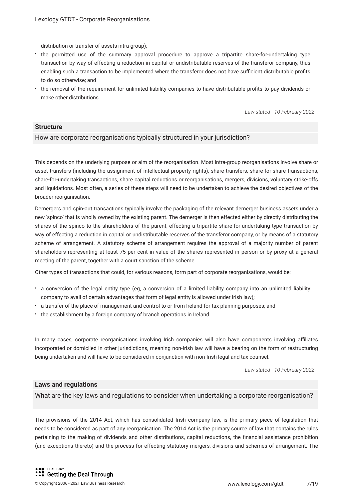distribution or transfer of assets intra-group);

- the permitted use of the summary approval procedure to approve a tripartite share-for-undertaking type transaction by way of effecting a reduction in capital or undistributable reserves of the transferor company, thus enabling such a transaction to be implemented where the transferor does not have sufficient distributable profits to do so otherwise; and
- the removal of the requirement for unlimited liability companies to have distributable profts to pay dividends or make other distributions.

*Law stated - 10 February 2022*

#### **Structure**

#### How are corporate reorganisations typically structured in your jurisdiction?

This depends on the underlying purpose or aim of the reorganisation. Most intra-group reorganisations involve share or asset transfers (including the assignment of intellectual property rights), share transfers, share-for-share transactions, share-for-undertaking transactions, share capital reductions or reorganisations, mergers, divisions, voluntary strike-offs and liquidations. Most often, a series of these steps will need to be undertaken to achieve the desired objectives of the broader reorganisation.

Demergers and spin-out transactions typically involve the packaging of the relevant demerger business assets under a new 'spinco' that is wholly owned by the existing parent. The demerger is then effected either by directly distributing the shares of the spinco to the shareholders of the parent, effecting a tripartite share-for-undertaking type transaction by way of effecting a reduction in capital or undistributable reserves of the transferor company, or by means of a statutory scheme of arrangement. A statutory scheme of arrangement requires the approval of a majority number of parent shareholders representing at least 75 per cent in value of the shares represented in person or by proxy at a general meeting of the parent, together with a court sanction of the scheme.

Other types of transactions that could, for various reasons, form part of corporate reorganisations, would be:

- a conversion of the legal entity type (eg, a conversion of a limited liability company into an unlimited liability company to avail of certain advantages that form of legal entity is allowed under Irish law);
- a transfer of the place of management and control to or from Ireland for tax planning purposes; and
- \* the establishment by a foreign company of branch operations in Ireland.

In many cases, corporate reorganisations involving Irish companies will also have components involving affiliates incorporated or domiciled in other jurisdictions, meaning non-Irish law will have a bearing on the form of restructuring being undertaken and will have to be considered in conjunction with non-Irish legal and tax counsel.

*Law stated - 10 February 2022*

#### **Laws and regulations**

What are the key laws and regulations to consider when undertaking a corporate reorganisation?

The provisions of the 2014 Act, which has consolidated Irish company law, is the primary piece of legislation that needs to be considered as part of any reorganisation. The 2014 Act is the primary source of law that contains the rules pertaining to the making of dividends and other distributions, capital reductions, the fnancial assistance prohibition (and exceptions thereto) and the process for effecting statutory mergers, divisions and schemes of arrangement. The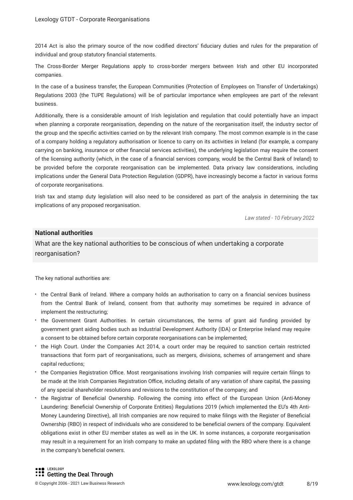2014 Act is also the primary source of the now codifed directors' fduciary duties and rules for the preparation of individual and group statutory fnancial statements.

The Cross-Border Merger Regulations apply to cross-border mergers between Irish and other EU incorporated companies.

In the case of a business transfer, the European Communities (Protection of Employees on Transfer of Undertakings) Regulations 2003 (the TUPE Regulations) will be of particular importance when employees are part of the relevant business.

Additionally, there is a considerable amount of Irish legislation and regulation that could potentially have an impact when planning a corporate reorganisation, depending on the nature of the reorganisation itself, the industry sector of the group and the specifc activities carried on by the relevant Irish company. The most common example is in the case of a company holding a regulatory authorisation or licence to carry on its activities in Ireland (for example, a company carrying on banking, insurance or other fnancial services activities), the underlying legislation may require the consent of the licensing authority (which, in the case of a fnancial services company, would be the Central Bank of Ireland) to be provided before the corporate reorganisation can be implemented. Data privacy law considerations, including implications under the General Data Protection Regulation (GDPR), have increasingly become a factor in various forms of corporate reorganisations.

Irish tax and stamp duty legislation will also need to be considered as part of the analysis in determining the tax implications of any proposed reorganisation.

*Law stated - 10 February 2022*

#### **National authorities**

What are the key national authorities to be conscious of when undertaking a corporate reorganisation?

The key national authorities are:

- the Central Bank of Ireland. Where a company holds an authorisation to carry on a fnancial services business from the Central Bank of Ireland, consent from that authority may sometimes be required in advance of implement the restructuring;
- the Government Grant Authorities. In certain circumstances, the terms of grant aid funding provided by government grant aiding bodies such as Industrial Development Authority (IDA) or Enterprise Ireland may require a consent to be obtained before certain corporate reorganisations can be implemented;
- the High Court. Under the Companies Act 2014, a court order may be required to sanction certain restricted transactions that form part of reorganisations, such as mergers, divisions, schemes of arrangement and share capital reductions;
- the Companies Registration Office. Most reorganisations involving Irish companies will require certain filings to be made at the Irish Companies Registration Office, including details of any variation of share capital, the passing of any special shareholder resolutions and revisions to the constitution of the company; and
- the Registrar of Benefcial Ownership. Following the coming into effect of the European Union (Anti-Money Laundering: Benefcial Ownership of Corporate Entities) Regulations 2019 (which implemented the EU's 4th Anti-Money Laundering Directive), all Irish companies are now required to make flings with the Register of Benefcial Ownership (RBO) in respect of individuals who are considered to be benefcial owners of the company. Equivalent obligations exist in other EU member states as well as in the UK. In some instances, a corporate reorganisation may result in a requirement for an Irish company to make an updated fling with the RBO where there is a change in the company's beneficial owners.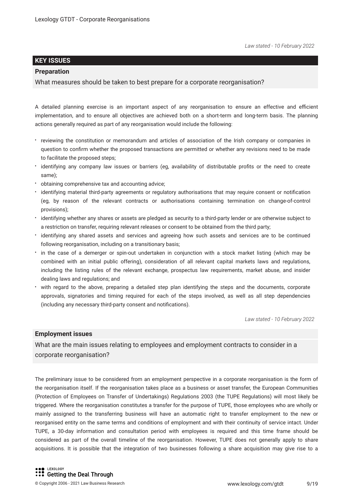#### **KEY ISSUES**

#### **Preparation**

What measures should be taken to best prepare for a corporate reorganisation?

A detailed planning exercise is an important aspect of any reorganisation to ensure an effective and efficient implementation, and to ensure all objectives are achieved both on a short-term and long-term basis. The planning actions generally required as part of any reorganisation would include the following:

- reviewing the constitution or memorandum and articles of association of the Irish company or companies in question to confrm whether the proposed transactions are permitted or whether any revisions need to be made to facilitate the proposed steps;
- identifying any company law issues or barriers (eg, availability of distributable profts or the need to create same);
- obtaining comprehensive tax and accounting advice;
- identifying material third-party agreements or regulatory authorisations that may require consent or notifcation (eg, by reason of the relevant contracts or authorisations containing termination on change-of-control provisions);
- identifying whether any shares or assets are pledged as security to a third-party lender or are otherwise subject to a restriction on transfer, requiring relevant releases or consent to be obtained from the third party;
- $\cdot$  identifying any shared assets and services and agreeing how such assets and services are to be continued following reorganisation, including on a transitionary basis;
- in the case of a demerger or spin-out undertaken in conjunction with a stock market listing (which may be combined with an initial public offering), consideration of all relevant capital markets laws and regulations, including the listing rules of the relevant exchange, prospectus law requirements, market abuse, and insider dealing laws and regulations; and
- with regard to the above, preparing a detailed step plan identifying the steps and the documents, corporate approvals, signatories and timing required for each of the steps involved, as well as all step dependencies (including any necessary third-party consent and notifcations).

*Law stated - 10 February 2022*

#### **Employment issues**

What are the main issues relating to employees and employment contracts to consider in a corporate reorganisation?

The preliminary issue to be considered from an employment perspective in a corporate reorganisation is the form of the reorganisation itself. If the reorganisation takes place as a business or asset transfer, the European Communities (Protection of Employees on Transfer of Undertakings) Regulations 2003 (the TUPE Regulations) will most likely be triggered. Where the reorganisation constitutes a transfer for the purpose of TUPE, those employees who are wholly or mainly assigned to the transferring business will have an automatic right to transfer employment to the new or reorganised entity on the same terms and conditions of employment and with their continuity of service intact. Under TUPE, a 30-day information and consultation period with employees is required and this time frame should be considered as part of the overall timeline of the reorganisation. However, TUPE does not generally apply to share acquisitions. It is possible that the integration of two businesses following a share acquisition may give rise to a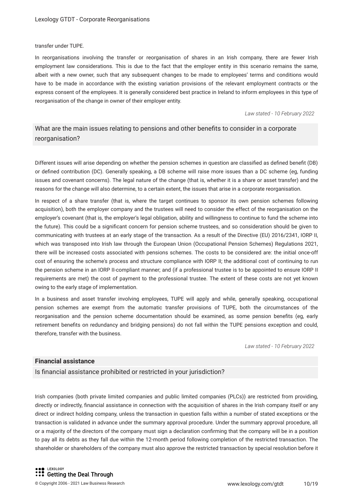transfer under TUPE.

In reorganisations involving the transfer or reorganisation of shares in an Irish company, there are fewer Irish employment law considerations. This is due to the fact that the employer entity in this scenario remains the same, albeit with a new owner, such that any subsequent changes to be made to employees' terms and conditions would have to be made in accordance with the existing variation provisions of the relevant employment contracts or the express consent of the employees. It is generally considered best practice in Ireland to inform employees in this type of reorganisation of the change in owner of their employer entity.

*Law stated - 10 February 2022*

#### What are the main issues relating to pensions and other benefts to consider in a corporate reorganisation?

Different issues will arise depending on whether the pension schemes in question are classifed as defned beneft (DB) or defned contribution (DC). Generally speaking, a DB scheme will raise more issues than a DC scheme (eg, funding issues and covenant concerns). The legal nature of the change (that is, whether it is a share or asset transfer) and the reasons for the change will also determine, to a certain extent, the issues that arise in a corporate reorganisation.

In respect of a share transfer (that is, where the target continues to sponsor its own pension schemes following acquisition), both the employer company and the trustees will need to consider the effect of the reorganisation on the employer's covenant (that is, the employer's legal obligation, ability and willingness to continue to fund the scheme into the future). This could be a signifcant concern for pension scheme trustees, and so consideration should be given to communicating with trustees at an early stage of the transaction. As a result of the Directive (EU) 2016/2341, IORP II, which was transposed into Irish law through the European Union (Occupational Pension Schemes) Regulations 2021, there will be increased costs associated with pensions schemes. The costs to be considered are: the initial once-off cost of ensuring the scheme's process and structure compliance with IORP II; the additional cost of continuing to run the pension scheme in an IORP II-compliant manner; and (if a professional trustee is to be appointed to ensure IORP II requirements are met) the cost of payment to the professional trustee. The extent of these costs are not yet known owing to the early stage of implementation.

In a business and asset transfer involving employees, TUPE will apply and while, generally speaking, occupational pension schemes are exempt from the automatic transfer provisions of TUPE, both the circumstances of the reorganisation and the pension scheme documentation should be examined, as some pension benefts (eg, early retirement benefts on redundancy and bridging pensions) do not fall within the TUPE pensions exception and could, therefore, transfer with the business.

*Law stated - 10 February 2022*

#### **Financial assistance**

Is fnancial assistance prohibited or restricted in your jurisdiction?

Irish companies (both private limited companies and public limited companies (PLCs)) are restricted from providing, directly or indirectly, fnancial assistance in connection with the acquisition of shares in the Irish company itself or any direct or indirect holding company, unless the transaction in question falls within a number of stated exceptions or the transaction is validated in advance under the summary approval procedure. Under the summary approval procedure, all or a majority of the directors of the company must sign a declaration confrming that the company will be in a position to pay all its debts as they fall due within the 12-month period following completion of the restricted transaction. The shareholder or shareholders of the company must also approve the restricted transaction by special resolution before it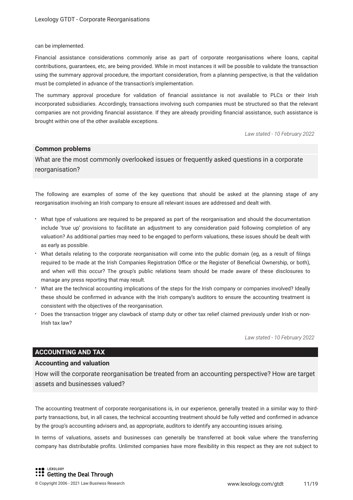#### can be implemented.

Financial assistance considerations commonly arise as part of corporate reorganisations where loans, capital contributions, guarantees, etc, are being provided. While in most instances it will be possible to validate the transaction using the summary approval procedure, the important consideration, from a planning perspective, is that the validation must be completed in advance of the transaction's implementation.

The summary approval procedure for validation of fnancial assistance is not available to PLCs or their Irish incorporated subsidiaries. Accordingly, transactions involving such companies must be structured so that the relevant companies are not providing fnancial assistance. If they are already providing fnancial assistance, such assistance is brought within one of the other available exceptions.

*Law stated - 10 February 2022*

#### **Common problems**

What are the most commonly overlooked issues or frequently asked questions in a corporate reorganisation?

The following are examples of some of the key questions that should be asked at the planning stage of any reorganisation involving an Irish company to ensure all relevant issues are addressed and dealt with.

- What type of valuations are required to be prepared as part of the reorganisation and should the documentation include 'true up' provisions to facilitate an adjustment to any consideration paid following completion of any valuation? As additional parties may need to be engaged to perform valuations, these issues should be dealt with as early as possible.
- What details relating to the corporate reorganisation will come into the public domain (eg, as a result of flings required to be made at the Irish Companies Registration Office or the Register of Beneficial Ownership, or both), and when will this occur? The group's public relations team should be made aware of these disclosures to manage any press reporting that may result.
- What are the technical accounting implications of the steps for the Irish company or companies involved? Ideally these should be confrmed in advance with the Irish company's auditors to ensure the accounting treatment is consistent with the objectives of the reorganisation.
- Does the transaction trigger any clawback of stamp duty or other tax relief claimed previously under Irish or non-Irish tax law?

*Law stated - 10 February 2022*

#### **ACCOUNTING AND TAX**

#### **Accounting and valuation**

How will the corporate reorganisation be treated from an accounting perspective? How are target assets and businesses valued?

The accounting treatment of corporate reorganisations is, in our experience, generally treated in a similar way to thirdparty transactions, but, in all cases, the technical accounting treatment should be fully vetted and confrmed in advance by the group's accounting advisers and, as appropriate, auditors to identify any accounting issues arising.

In terms of valuations, assets and businesses can generally be transferred at book value where the transferring company has distributable profts. Unlimited companies have more fexibility in this respect as they are not subject to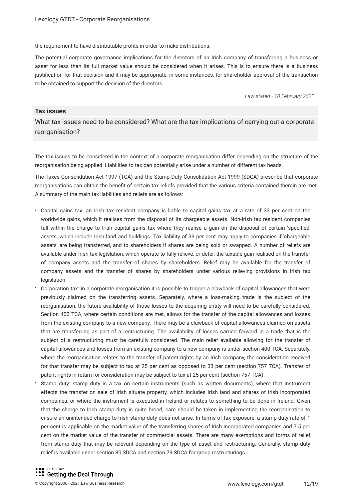the requirement to have distributable profts in order to make distributions.

The potential corporate governance implications for the directors of an Irish company of transferring a business or asset for less than its full market value should be considered when it arises. This is to ensure there is a business justifcation for that decision and it may be appropriate, in some instances, for shareholder approval of the transaction to be obtained to support the decision of the directors.

*Law stated - 10 February 2022*

#### **Tax issues**

What tax issues need to be considered? What are the tax implications of carrying out a corporate reorganisation?

The tax issues to be considered in the context of a corporate reorganisation differ depending on the structure of the reorganisation being applied. Liabilities to tax can potentially arise under a number of different tax heads.

The Taxes Consolidation Act 1997 (TCA) and the Stamp Duty Consolidation Act 1999 (SDCA) prescribe that corporate reorganisations can obtain the beneft of certain tax reliefs provided that the various criteria contained therein are met. A summary of the main tax liabilities and reliefs are as follows:

- Capital gains tax: an Irish tax resident company is liable to capital gains tax at a rate of 33 per cent on the worldwide gains, which it realises from the disposal of its chargeable assets. Non-Irish tax resident companies fall within the charge to Irish capital gains tax where they realise a gain on the disposal of certain 'specified' assets, which include Irish land and buildings. Tax liability of 33 per cent may apply to companies if 'chargeable assets' are being transferred, and to shareholders if shares are being sold or swapped. A number of reliefs are available under Irish tax legislation, which operate to fully relieve, or defer, the taxable gain realised on the transfer of company assets and the transfer of shares by shareholders. Relief may be available for the transfer of company assets and the transfer of shares by shareholders under various relieving provisions in Irish tax legislation.
- Corporation tax: in a corporate reorganisation it is possible to trigger a clawback of capital allowances that were previously claimed on the transferring assets. Separately, where a loss-making trade is the subject of the reorganisation, the future availability of those losses to the acquiring entity will need to be carefully considered. Section 400 TCA, where certain conditions are met, allows for the transfer of the capital allowances and losses from the existing company to a new company. There may be a clawback of capital allowances claimed on assets that are transferring as part of a restructuring. The availability of losses carried forward in a trade that is the subject of a restructuring must be carefully considered. The main relief available allowing for the transfer of capital allowances and losses from an existing company to a new company is under section 400 TCA. Separately, where the reorganisation relates to the transfer of patent rights by an Irish company, the consideration received for that transfer may be subject to tax at 25 per cent as opposed to 33 per cent (section 757 TCA). Transfer of patent rights in return for consideration may be subject to tax at 25 per cent (section 757 TCA).
- Stamp duty: stamp duty is a tax on certain instruments (such as written documents), where that instrument effects the transfer on sale of Irish situate property, which includes Irish land and shares of Irish incorporated companies, or where the instrument is executed in Ireland or relates to something to be done in Ireland. Given that the charge to Irish stamp duty is quite broad, care should be taken in implementing the reorganisation to ensure an unintended charge to Irish stamp duty does not arise. In terms of tax exposure, a stamp duty rate of 1 per cent is applicable on the market value of the transferring shares of Irish incorporated companies and 7.5 per cent on the market value of the transfer of commercial assets. There are many exemptions and forms of relief from stamp duty that may be relevant depending on the type of asset and restructuring. Generally, stamp duty relief is available under section 80 SDCA and section 79 SDCA for group restructurings.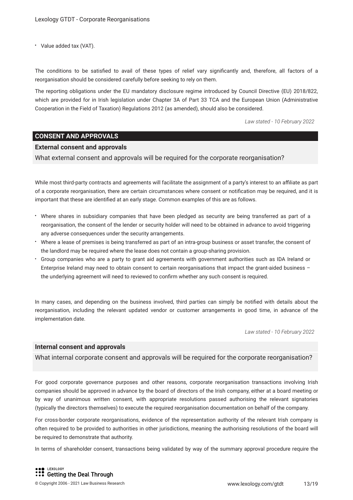Value added tax (VAT).

The conditions to be satisfed to avail of these types of relief vary signifcantly and, therefore, all factors of a reorganisation should be considered carefully before seeking to rely on them.

The reporting obligations under the EU mandatory disclosure regime introduced by Council Directive (EU) 2018/822, which are provided for in Irish legislation under Chapter 3A of Part 33 TCA and the European Union (Administrative Cooperation in the Field of Taxation) Regulations 2012 (as amended), should also be considered.

*Law stated - 10 February 2022*

#### **CONSENT AND APPROVALS**

#### **External consent and approvals**

What external consent and approvals will be required for the corporate reorganisation?

While most third-party contracts and agreements will facilitate the assignment of a party's interest to an afliate as part of a corporate reorganisation, there are certain circumstances where consent or notifcation may be required, and it is important that these are identifed at an early stage. Common examples of this are as follows.

- Where shares in subsidiary companies that have been pledged as security are being transferred as part of a reorganisation, the consent of the lender or security holder will need to be obtained in advance to avoid triggering any adverse consequences under the security arrangements.
- Where a lease of premises is being transferred as part of an intra-group business or asset transfer, the consent of the landlord may be required where the lease does not contain a group-sharing provision.
- Group companies who are a party to grant aid agreements with government authorities such as IDA Ireland or Enterprise Ireland may need to obtain consent to certain reorganisations that impact the grant-aided business – the underlying agreement will need to reviewed to confrm whether any such consent is required.

In many cases, and depending on the business involved, third parties can simply be notifed with details about the reorganisation, including the relevant updated vendor or customer arrangements in good time, in advance of the implementation date.

*Law stated - 10 February 2022*

#### **Internal consent and approvals**

What internal corporate consent and approvals will be required for the corporate reorganisation?

For good corporate governance purposes and other reasons, corporate reorganisation transactions involving Irish companies should be approved in advance by the board of directors of the Irish company, either at a board meeting or by way of unanimous written consent, with appropriate resolutions passed authorising the relevant signatories (typically the directors themselves) to execute the required reorganisation documentation on behalf of the company.

For cross-border corporate reorganisations, evidence of the representation authority of the relevant Irish company is often required to be provided to authorities in other jurisdictions, meaning the authorising resolutions of the board will be required to demonstrate that authority.

In terms of shareholder consent, transactions being validated by way of the summary approval procedure require the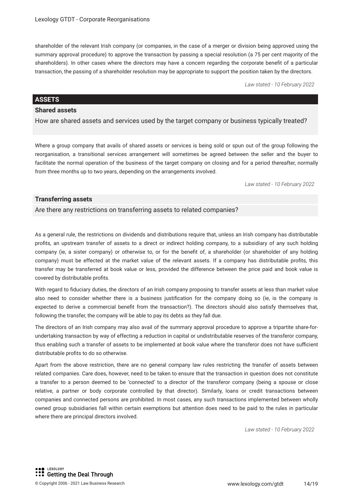shareholder of the relevant Irish company (or companies, in the case of a merger or division being approved using the summary approval procedure) to approve the transaction by passing a special resolution (a 75 per cent majority of the shareholders). In other cases where the directors may have a concern regarding the corporate beneft of a particular transaction, the passing of a shareholder resolution may be appropriate to support the position taken by the directors.

*Law stated - 10 February 2022*

#### **ASSETS**

#### **Shared assets**

How are shared assets and services used by the target company or business typically treated?

Where a group company that avails of shared assets or services is being sold or spun out of the group following the reorganisation, a transitional services arrangement will sometimes be agreed between the seller and the buyer to facilitate the normal operation of the business of the target company on closing and for a period thereafter, normally from three months up to two years, depending on the arrangements involved.

*Law stated - 10 February 2022*

#### **Transferring assets**

Are there any restrictions on transferring assets to related companies?

As a general rule, the restrictions on dividends and distributions require that, unless an Irish company has distributable profts, an upstream transfer of assets to a direct or indirect holding company, to a subsidiary of any such holding company (ie, a sister company) or otherwise to, or for the beneft of, a shareholder (or shareholder of any holding company) must be effected at the market value of the relevant assets. If a company has distributable profts, this transfer may be transferred at book value or less, provided the difference between the price paid and book value is covered by distributable profts.

With regard to fduciary duties, the directors of an Irish company proposing to transfer assets at less than market value also need to consider whether there is a business justifcation for the company doing so (ie, is the company is expected to derive a commercial beneft from the transaction?). The directors should also satisfy themselves that, following the transfer, the company will be able to pay its debts as they fall due.

The directors of an Irish company may also avail of the summary approval procedure to approve a tripartite share-forundertaking transaction by way of effecting a reduction in capital or undistributable reserves of the transferor company, thus enabling such a transfer of assets to be implemented at book value where the transferor does not have sufficient distributable profts to do so otherwise.

Apart from the above restriction, there are no general company law rules restricting the transfer of assets between related companies. Care does, however, need to be taken to ensure that the transaction in question does not constitute a transfer to a person deemed to be 'connected' to a director of the transferor company (being a spouse or close relative, a partner or body corporate controlled by that director). Similarly, loans or credit transactions between companies and connected persons are prohibited. In most cases, any such transactions implemented between wholly owned group subsidiaries fall within certain exemptions but attention does need to be paid to the rules in particular where there are principal directors involved.

*Law stated - 10 February 2022*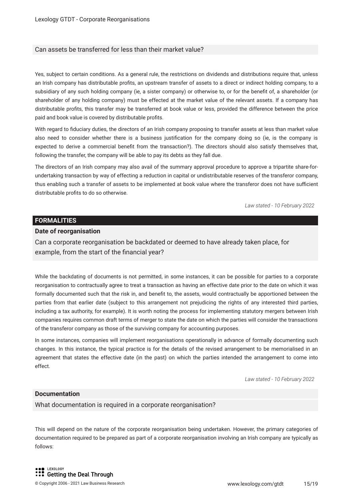#### Can assets be transferred for less than their market value?

Yes, subject to certain conditions. As a general rule, the restrictions on dividends and distributions require that, unless an Irish company has distributable profts, an upstream transfer of assets to a direct or indirect holding company, to a subsidiary of any such holding company (ie, a sister company) or otherwise to, or for the beneft of, a shareholder (or shareholder of any holding company) must be effected at the market value of the relevant assets. If a company has distributable profts, this transfer may be transferred at book value or less, provided the difference between the price paid and book value is covered by distributable profts.

With regard to fduciary duties, the directors of an Irish company proposing to transfer assets at less than market value also need to consider whether there is a business justifcation for the company doing so (ie, is the company is expected to derive a commercial beneft from the transaction?). The directors should also satisfy themselves that, following the transfer, the company will be able to pay its debts as they fall due.

The directors of an Irish company may also avail of the summary approval procedure to approve a tripartite share-forundertaking transaction by way of effecting a reduction in capital or undistributable reserves of the transferor company, thus enabling such a transfer of assets to be implemented at book value where the transferor does not have sufficient distributable profts to do so otherwise.

*Law stated - 10 February 2022*

#### **FORMALITIES**

#### **Date of reorganisation**

Can a corporate reorganisation be backdated or deemed to have already taken place, for example, from the start of the fnancial year?

While the backdating of documents is not permitted, in some instances, it can be possible for parties to a corporate reorganisation to contractually agree to treat a transaction as having an effective date prior to the date on which it was formally documented such that the risk in, and beneft to, the assets, would contractually be apportioned between the parties from that earlier date (subject to this arrangement not prejudicing the rights of any interested third parties, including a tax authority, for example). It is worth noting the process for implementing statutory mergers between Irish companies requires common draft terms of merger to state the date on which the parties will consider the transactions of the transferor company as those of the surviving company for accounting purposes.

In some instances, companies will implement reorganisations operationally in advance of formally documenting such changes. In this instance, the typical practice is for the details of the revised arrangement to be memorialised in an agreement that states the effective date (in the past) on which the parties intended the arrangement to come into effect.

*Law stated - 10 February 2022*

#### **Documentation**

What documentation is required in a corporate reorganisation?

This will depend on the nature of the corporate reorganisation being undertaken. However, the primary categories of documentation required to be prepared as part of a corporate reorganisation involving an Irish company are typically as follows: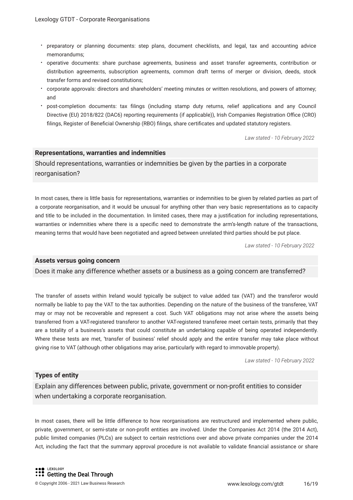- preparatory or planning documents: step plans, document checklists, and legal, tax and accounting advice memorandums;
- operative documents: share purchase agreements, business and asset transfer agreements, contribution or distribution agreements, subscription agreements, common draft terms of merger or division, deeds, stock transfer forms and revised constitutions;
- corporate approvals: directors and shareholders' meeting minutes or written resolutions, and powers of attorney; and
- post-completion documents: tax flings (including stamp duty returns, relief applications and any Council Directive (EU) 2018/822 (DAC6) reporting requirements (if applicable)), Irish Companies Registration Office (CRO) flings, Register of Benefcial Ownership (RBO) flings, share certifcates and updated statutory registers.

*Law stated - 10 February 2022*

#### **Representations, warranties and indemnities**

Should representations, warranties or indemnities be given by the parties in a corporate reorganisation?

In most cases, there is little basis for representations, warranties or indemnities to be given by related parties as part of a corporate reorganisation, and it would be unusual for anything other than very basic representations as to capacity and title to be included in the documentation. In limited cases, there may a justifcation for including representations, warranties or indemnities where there is a specifc need to demonstrate the arm's-length nature of the transactions, meaning terms that would have been negotiated and agreed between unrelated third parties should be put place.

*Law stated - 10 February 2022*

#### **Assets versus going concern**

Does it make any difference whether assets or a business as a going concern are transferred?

The transfer of assets within Ireland would typically be subject to value added tax (VAT) and the transferor would normally be liable to pay the VAT to the tax authorities. Depending on the nature of the business of the transferee, VAT may or may not be recoverable and represent a cost. Such VAT obligations may not arise where the assets being transferred from a VAT-registered transferor to another VAT-registered transferee meet certain tests, primarily that they are a totality of a business's assets that could constitute an undertaking capable of being operated independently. Where these tests are met, 'transfer of business' relief should apply and the entire transfer may take place without giving rise to VAT (although other obligations may arise, particularly with regard to immovable property).

*Law stated - 10 February 2022*

#### **Types of entity**

Explain any differences between public, private, government or non-proft entities to consider when undertaking a corporate reorganisation.

In most cases, there will be little difference to how reorganisations are restructured and implemented where public, private, government, or semi-state or non-proft entities are involved. Under the Companies Act 2014 (the 2014 Act), public limited companies (PLCs) are subject to certain restrictions over and above private companies under the 2014 Act, including the fact that the summary approval procedure is not available to validate fnancial assistance or share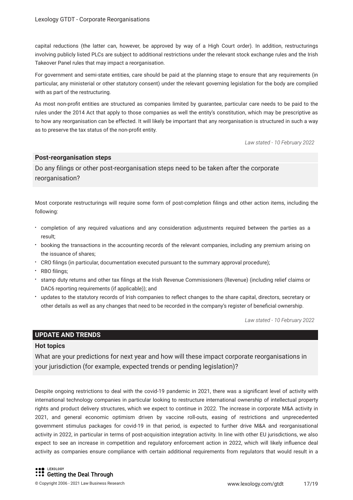capital reductions (the latter can, however, be approved by way of a High Court order). In addition, restructurings involving publicly listed PLCs are subject to additional restrictions under the relevant stock exchange rules and the Irish Takeover Panel rules that may impact a reorganisation.

For government and semi-state entities, care should be paid at the planning stage to ensure that any requirements (in particular, any ministerial or other statutory consent) under the relevant governing legislation for the body are complied with as part of the restructuring.

As most non-proft entities are structured as companies limited by guarantee, particular care needs to be paid to the rules under the 2014 Act that apply to those companies as well the entity's constitution, which may be prescriptive as to how any reorganisation can be effected. It will likely be important that any reorganisation is structured in such a way as to preserve the tax status of the non-proft entity.

*Law stated - 10 February 2022*

#### **Post-reorganisation steps**

Do any flings or other post-reorganisation steps need to be taken after the corporate reorganisation?

Most corporate restructurings will require some form of post-completion flings and other action items, including the following:

- completion of any required valuations and any consideration adjustments required between the parties as a result;
- booking the transactions in the accounting records of the relevant companies, including any premium arising on the issuance of shares;
- CRO flings (in particular, documentation executed pursuant to the summary approval procedure);
- RBO filings:
- stamp duty returns and other tax flings at the Irish Revenue Commissioners (Revenue) (including relief claims or DAC6 reporting requirements (if applicable)); and
- updates to the statutory records of Irish companies to refect changes to the share capital, directors, secretary or other details as well as any changes that need to be recorded in the company's register of benefcial ownership.

*Law stated - 10 February 2022*

#### **UPDATE AND TRENDS**

#### **Hot topics**

What are your predictions for next year and how will these impact corporate reorganisations in your jurisdiction (for example, expected trends or pending legislation)?

Despite ongoing restrictions to deal with the covid-19 pandemic in 2021, there was a signifcant level of activity with international technology companies in particular looking to restructure international ownership of intellectual property rights and product delivery structures, which we expect to continue in 2022. The increase in corporate M&A activity in 2021, and general economic optimism driven by vaccine roll-outs, easing of restrictions and unprecedented government stimulus packages for covid-19 in that period, is expected to further drive M&A and reorganisational activity in 2022, in particular in terms of post-acquisition integration activity. In line with other EU jurisdictions, we also expect to see an increase in competition and regulatory enforcement action in 2022, which will likely infuence deal activity as companies ensure compliance with certain additional requirements from regulators that would result in a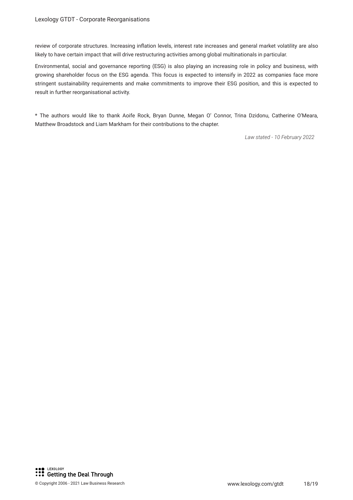review of corporate structures. Increasing infation levels, interest rate increases and general market volatility are also likely to have certain impact that will drive restructuring activities among global multinationals in particular.

Environmental, social and governance reporting (ESG) is also playing an increasing role in policy and business, with growing shareholder focus on the ESG agenda. This focus is expected to intensify in 2022 as companies face more stringent sustainability requirements and make commitments to improve their ESG position, and this is expected to result in further reorganisational activity.

\* The authors would like to thank Aoife Rock, Bryan Dunne, Megan O' Connor, Trina Dzidonu, Catherine O'Meara, Matthew Broadstock and Liam Markham for their contributions to the chapter.

*Law stated - 10 February 2022*